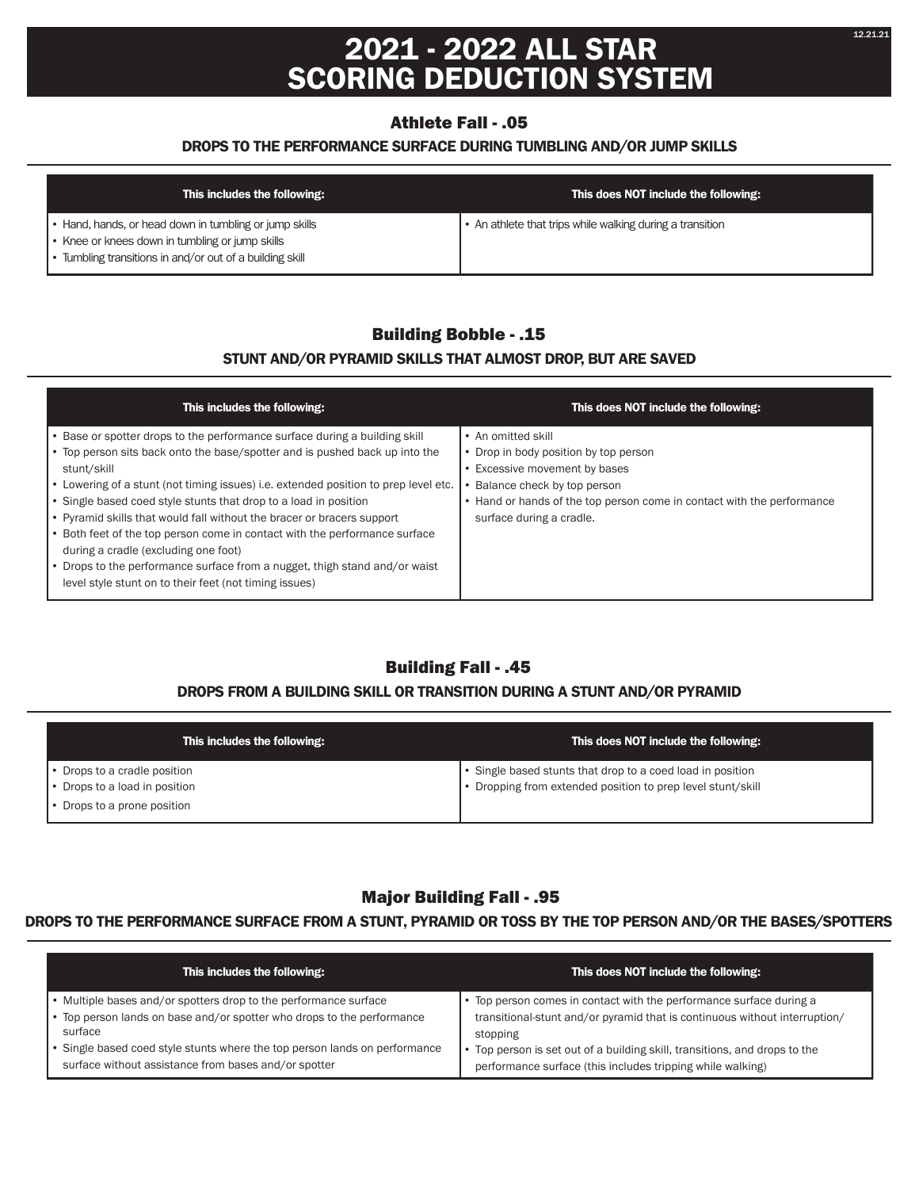# **2021 - 2022 ALL STAR SCORING DEDUCTION SYSTEM**

## Athlete Fall - .05

#### **DROPS TO THE PERFORMANCE SURFACE DURING TUMBLING AND/OR JUMP SKILLS**

| This includes the following:                             | This does NOT include the following:                      |
|----------------------------------------------------------|-----------------------------------------------------------|
| Hand, hands, or head down in tumbling or jump skills     | • An athlete that trips while walking during a transition |
| • Knee or knees down in tumbling or jump skills          |                                                           |
| . Tumbling transitions in and/or out of a building skill |                                                           |

## Building Bobble - .15

### **STUNT AND/OR PYRAMID SKILLS THAT ALMOST DROP, BUT ARE SAVED**

| This includes the following:                                                                                                                                                                                                                                                                                                                                                                                                                                                                                                                                                                                                                                                   | This does NOT include the following:                                                                                                                                                                                              |
|--------------------------------------------------------------------------------------------------------------------------------------------------------------------------------------------------------------------------------------------------------------------------------------------------------------------------------------------------------------------------------------------------------------------------------------------------------------------------------------------------------------------------------------------------------------------------------------------------------------------------------------------------------------------------------|-----------------------------------------------------------------------------------------------------------------------------------------------------------------------------------------------------------------------------------|
| • Base or spotter drops to the performance surface during a building skill<br>Top person sits back onto the base/spotter and is pushed back up into the<br>stunt/skill<br>Lowering of a stunt (not timing issues) i.e. extended position to prep level etc.<br>Single based coed style stunts that drop to a load in position<br>• Pyramid skills that would fall without the bracer or bracers support<br>Both feet of the top person come in contact with the performance surface<br>during a cradle (excluding one foot)<br>Drops to the performance surface from a nugget, thigh stand and/or waist<br>$\bullet$<br>level style stunt on to their feet (not timing issues) | • An omitted skill<br>• Drop in body position by top person<br>• Excessive movement by bases<br>Balance check by top person<br>• Hand or hands of the top person come in contact with the performance<br>surface during a cradle. |

## Building Fall - .45

### **DROPS FROM A BUILDING SKILL OR TRANSITION DURING A STUNT AND/OR PYRAMID**

| This includes the following: | This does NOT include the following:                        |
|------------------------------|-------------------------------------------------------------|
| Drops to a cradle position   | • Single based stunts that drop to a coed load in position  |
| Drops to a load in position  | • Dropping from extended position to prep level stunt/skill |
| Drops to a prone position    |                                                             |

## Major Building Fall - .95

#### **DROPS TO THE PERFORMANCE SURFACE FROM A STUNT, PYRAMID OR TOSS BY THE TOP PERSON AND/OR THE BASES/SPOTTERS**

| This includes the following:                                               | This does NOT include the following:                                       |
|----------------------------------------------------------------------------|----------------------------------------------------------------------------|
| • Multiple bases and/or spotters drop to the performance surface           | Top person comes in contact with the performance surface during a          |
| • Top person lands on base and/or spotter who drops to the performance     | transitional-stunt and/or pyramid that is continuous without interruption/ |
| surface                                                                    | stopping                                                                   |
| • Single based coed style stunts where the top person lands on performance | Top person is set out of a building skill, transitions, and drops to the   |
| surface without assistance from bases and/or spotter                       | performance surface (this includes tripping while walking)                 |